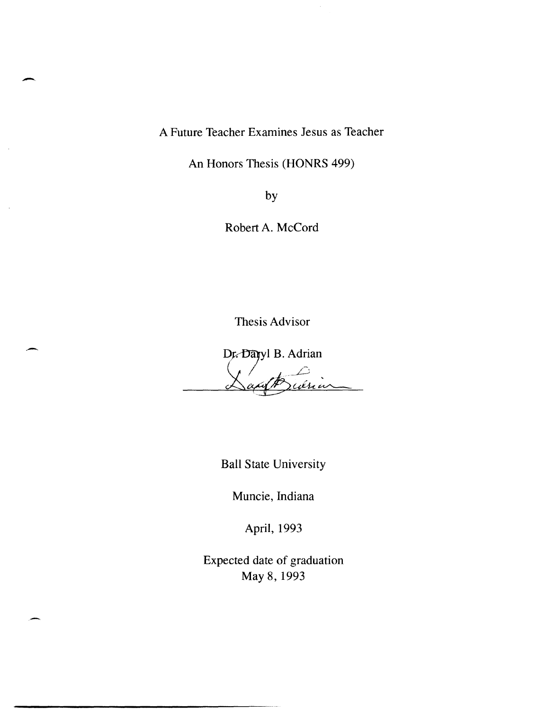A Future Teacher Examines Jesus as Teacher

-

-

An Honors Thesis (HONRS 499)

by

Robert A. McCord

Thesis Advisor

Dr. Dayyl B. Adrian

Ball State University

Muncie, Indiana

April, 1993

Expected date of graduation May 8,1993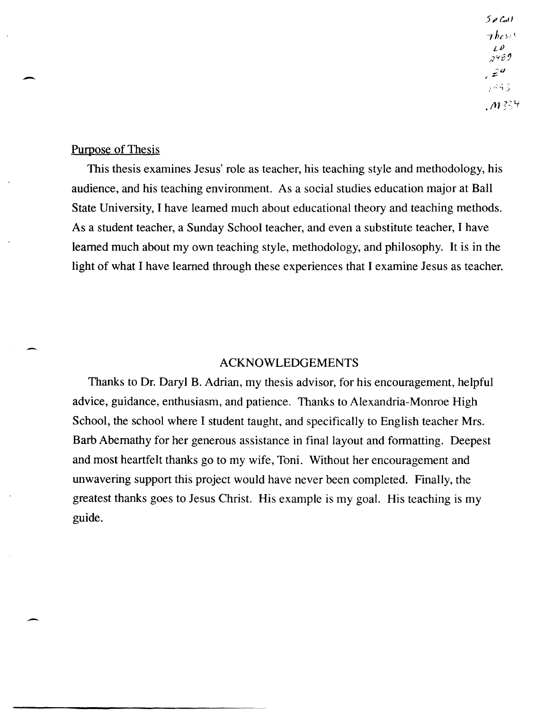$50$  $7$ *hcs*<sup>15</sup>  $L^{D}$ وحبير  $\mathcal{Z}^{\mathcal{U}}$ ووهبر  $.1334$ 

## Purpose of Thesis

-

-

This thesis examines Jesus' role as teacher, his teaching style and methodology, his audience, and his teaching environment. As a social studies education major at Ball State University, I have learned much about educational theory and teaching methods. As a student teacher, a Sunday School teacher, and even a substitute teacher, I have learned much about my own teaching style, methodology, and philosophy. It is in the light of what I have learned through these experiences that I examine Jesus as teacher.

## ACKNOWLEDGEMENTS

Thanks to Dr. Daryl B. Adrian, my thesis advisor, for his encouragement, helpful advice, guidance, enthusiasm, and patience. Thanks to Alexandria-Monroe High School, the school where I student taught, and specifically to English teacher Mrs. Barb Abernathy for her generous assistance in final layout and formatting. Deepest and most heartfelt thanks go to my wife, Toni. Without her encouragement and unwavering support this project would have never been completed. Finally, the greatest thanks goes to Jesus Christ. His example is my goal. His teaching is my guide.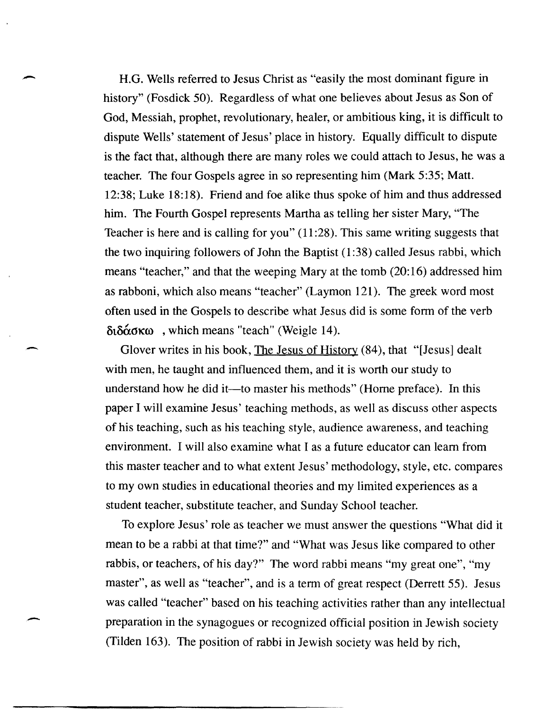H.G. Wells referred to Jesus Christ as "easily the most dominant figure in history" (Fosdick 50). Regardless of what one believes about Jesus as Son of God, Messiah, prophet, revolutionary, healer, or ambitious king, it is difficult to dispute Wells' statement of Jesus' place in history. Equally difficult to dispute is the fact that, although there are many roles we could attach to Jesus, he was a teacher. The four Gospels agree in so representing him (Mark 5:35; Matt. 12:38; Luke 18:18). Friend and foe alike thus spoke of him and thus addressed him. The Fourth Gospel represents Martha as telling her sister Mary, "The Teacher is here and is calling for you" (11 :28). This same writing suggests that the two inquiring followers of John the Baptist  $(1:38)$  called Jesus rabbi, which means "teacher," and that the weeping Mary at the tomb (20:16) addressed him as rabboni, which also means "teacher" (Laymon 121). The greek word most often used in the Gospels to describe what Jesus did is some form of the verb  $\delta_1\delta_2\delta_3\sigma_3$ , which means "teach" (Weigle 14).

-

-

-

Glover writes in his book, The Jesus of History (84), that "[Jesus] dealt with men, he taught and influenced them, and it is worth our study to understand how he did it—to master his methods" (Horne preface). In this paper I will examine Jesus' teaching methods, as well as discuss other aspects of his teaching, such as his teaching style, audience awareness, and teaching environment. I will also examine what I as a future educator can learn from this master teacher and to what extent Jesus' methodology, style, etc. compares to my own studies in educational theories and my limited experiences as a student teacher, substitute teacher, and Sunday School teacher.

To explore Jesus' role as teacher we must answer the questions "What did it mean to be a rabbi at that time?" and "What was Jesus like compared to other rabbis, or teachers, of his day?" The word rabbi means "my great one", "my master", as well as "teacher", and is a term of great respect (Derrett 55). Jesus was called "teacher" based on his teaching activities rather than any intellectual preparation in the synagogues or recognized official position in Jewish society (Tilden 163). The position of rabbi in Jewish society was held by rich,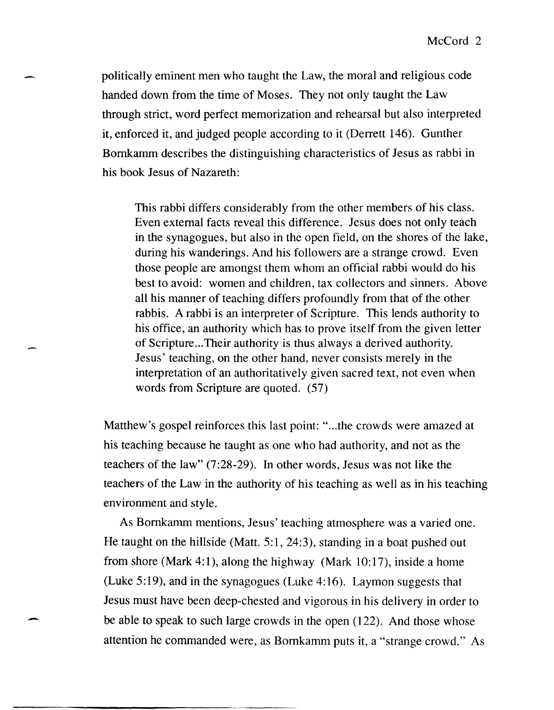politically eminent men who taught the Law, the moral and religious code handed down from the time of Moses. They not only taught the Law through strict, word perfect memorization and rehearsal but also interpreted it, enforced it, and judged people according to it (Derrett 146). Gunther Bornkamm describes the distinguishing characteristics of Jesus as rabbi in his book Jesus of Nazareth:

-

This rabbi differs considerably from the other members of his class. Even external facts reveal this difference. Jesus does not only teach in the synagogues, but also in the open field, on the shores of the lake, during his wanderings. And his followers are a strange crowd. Even those people are amongst them whom an official rabbi would do his best to avoid: women and children, tax collectors and sinners. Above all his manner of teaching differs profoundly from that of the other rabbis. A rabbi is an interpreter of Scripture. This lends authority to his office, an authority which has to prove itself from the given letter of Scripture ... Their authority is thus always a derived authority. Jesus' teaching, on the other hand, never consists merely in the interpretation of an authoritatively given sacred text, not even when words from Scripture are quoted. (57)

Matthew's gospel reinforces this last point: "...the crowds were amazed at his teaching because he taught as one who had authority, and not as the teachers of the law" (7:28-29). In other words, Jesus was not like the teachers of the Law in the authority of his teaching as well as in his teaching environment and style.

As Bomkamm mentions, Jesus' teaching atmosphere was a varied one. He taught on the hillside (Matt. 5:1, 24:3), standing in a boat pushed out from shore (Mark 4:1), along the highway (Mark 10:17), inside a home (Luke 5:19), and in the synagogues (Luke 4:16). Laymon suggests that Jesus must have been deep-chested and vigorous in his delivery in order to be able to speak to such large crowds in the open (122). And those whose attention he commanded were, as Bornkamm puts it, a "strange crowd." As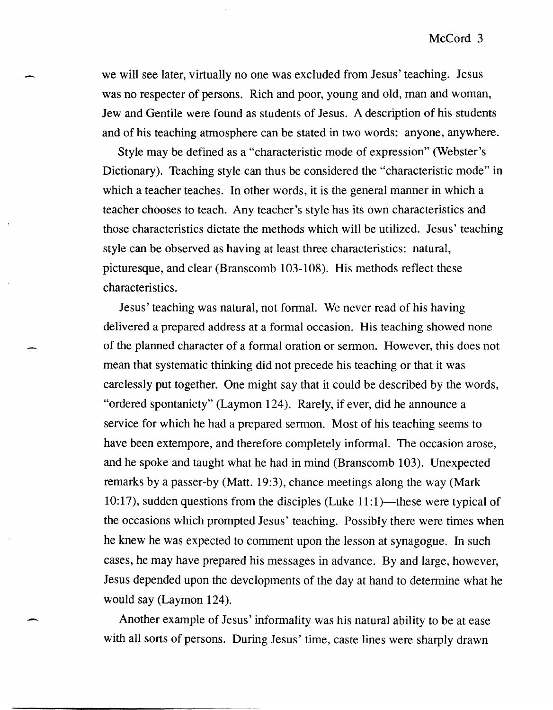we will see later, virtually no one was excluded from Jesus' teaching. Jesus was no respecter of persons. Rich and poor, young and old, man and woman, Jew and Gentile were found as students of Jesus. A description of his students and of his teaching atmosphere can be stated in two words: anyone, anywhere.

-

-

Style may be defined as a "characteristic mode of expression" (Webster's Dictionary). Teaching style can thus be considered the "characteristic mode" in which a teacher teaches. In other words, it is the general manner in which a teacher chooses to teach. Any teacher's style has its own characteristics and those characteristics dictate the methods which will be utilized. Jesus' teaching style can be observed as having at least three characteristics: natural, picturesque, and clear (Branscomb 103-108). His methods reflect these characteristics.

Jesus' teaching was natural, not formal. We never read of his having delivered a prepared address at a formal occasion. His teaching showed none of the planned character of a formal oration or sermon. However, this does not mean that systematic thinking did not precede his teaching or that it was carelessly put together. One might say that it could be described by the words, "ordered spontaniety" (Laymon 124). Rarely, if ever, did he announce a service for which he had a prepared sermon. Most of his teaching seems to have been extempore, and therefore completely informal. The occasion arose, and he spoke and taught what he had in mind (Branscomb 103). Unexpected remarks by a passer-by (Matt. 19:3), chance meetings along the way (Mark 10:17), sudden questions from the disciples (Luke  $11:1$ )—these were typical of the occasions which prompted Jesus' teaching. Possibly there were times when he knew he was expected to comment upon the lesson at synagogue. In such cases, he may have prepared his messages in advance. By and large, however, Jesus depended upon the developments of the day at hand to determine what he would say (Laymon 124).

Another example of Jesus' informality was his natural ability to be at ease with all sorts of persons. During Jesus' time, caste lines were sharply drawn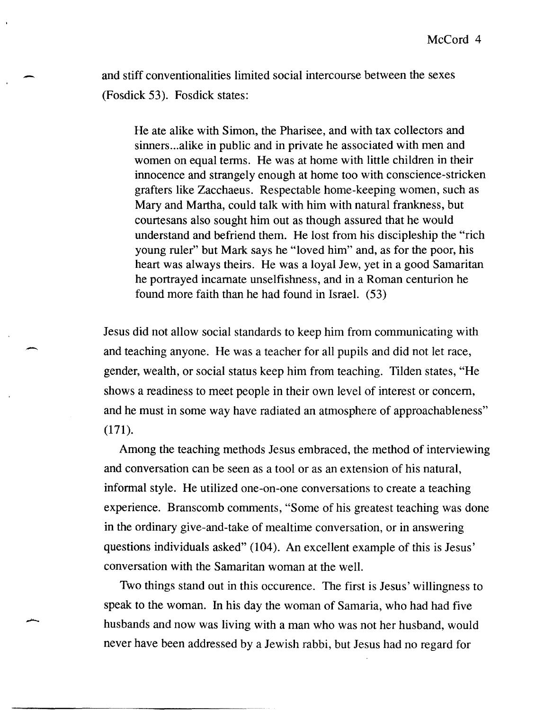and stiff conventionalities limited social intercourse between the sexes (Fosdick 53). Fosdick states:

-

-

--

He ate alike with Simon, the Pharisee, and with tax collectors and sinners ... alike in public and in private he associated with men and women on equal terms. He was at home with little children in their innocence and strangely enough at home too with conscience-stricken grafters like Zacchaeus. Respectable home-keeping women, such as Mary and Martha, could talk with him with natural frankness, but courtesans also sought him out as though assured that he would understand and befriend them. He lost from his discipleship the "rich young ruler" but Mark says he "loved him" and, as for the poor, his heart was always theirs. He was a loyal Jew, yet in a good Samaritan he portrayed incarnate unselfishness, and in a Roman centurion he found more faith than he had found in Israel. (53)

Jesus did not allow social standards to keep him from communicating with and teaching anyone. He was a teacher for all pupils and did not let race, gender, wealth, or social status keep him from teaching. Tilden states, "He shows a readiness to meet people in their own level of interest or concern, and he must in some way have radiated an atmosphere of approachableness" (171).

Among the teaching methods Jesus embraced, the method of interviewing and conversation can be seen as a tool or as an extension of his natural, informal style. He utilized one-on-one conversations to create a teaching experience. Branscomb comments, "Some of his greatest teaching was done in the ordinary give-and-take of mealtime conversation, or in answering questions individuals asked" (104). An excellent example of this is Jesus' conversation with the Samaritan woman at the well.

Two things stand out in this occurence. The first is Jesus' willingness to speak to the woman. In his day the woman of Samaria, who had had five husbands and now was living with a man who was not her husband, would never have been addressed by a Jewish rabbi, but Jesus had no regard for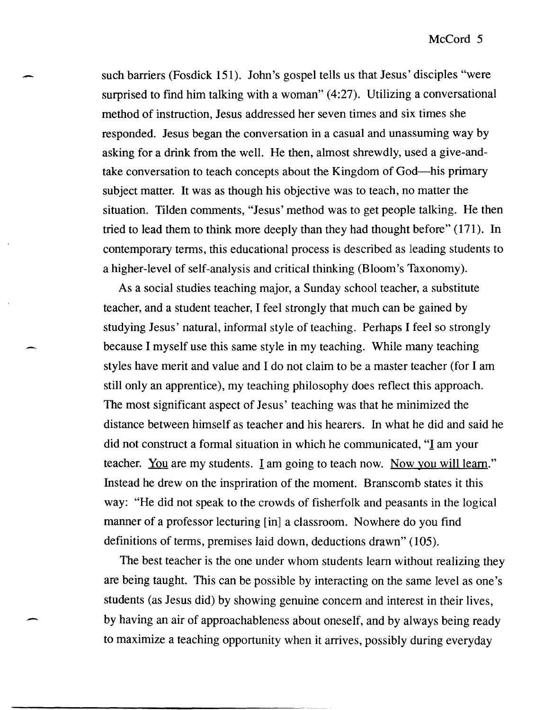such barriers (Fosdick 151). John's gospel tells us that Jesus' disciples "were surprised to find him talking with a woman" (4:27). Utilizing a conversational method of instruction, Jesus addressed her seven times and six times she responded. Jesus began the conversation in a casual and unassuming way by asking for a drink from the well. He then, almost shrewdly, used a give-andtake conversation to teach concepts about the Kingdom of God-his primary subject matter. It was as though his objective was to teach, no matter the situation. Tilden comments, "Jesus' method was to get people talking. He then tried to lead them to think more deeply than they had thought before" (171). In contemporary terms, this educational process is described as leading students to a higher-level of self-analysis and critical thinking (Bloom's Taxonomy).

-

-

As a social studies teaching major, a Sunday school teacher, a substitute teacher, and a student teacher, I feel strongly that much can be gained by studying Jesus' natural, informal style of teaching. Perhaps I feel so strongly because I myself use this same style in my teaching. While many teaching styles have merit and value and I do not claim to be a master teacher (for I am still only an apprentice), my teaching philosophy does reflect this approach. The most significant aspect of Jesus' teaching was that he minimized the distance between himself as teacher and his hearers. In what he did and said he did not construct a formal situation in which he communicated, "I am your teacher. You are my students. I am going to teach now. Now you will learn." Instead he drew on the inspriration of the moment. Branscomb states it this way: "He did not speak to the crowds of fisherfolk and peasants in the logical manner of a professor lecturing [in] a classroom. Nowhere do you find definitions of terms, premises laid down, deductions drawn" (105).

The best teacher is the one under whom students learn without realizing they are being taught. This can be possible by interacting on the same level as one's students (as Jesus did) by showing genuine concern and interest in their lives, by having an air of approachableness about oneself, and by always being ready to maximize a teaching opportunity when it arrives, possibly during everyday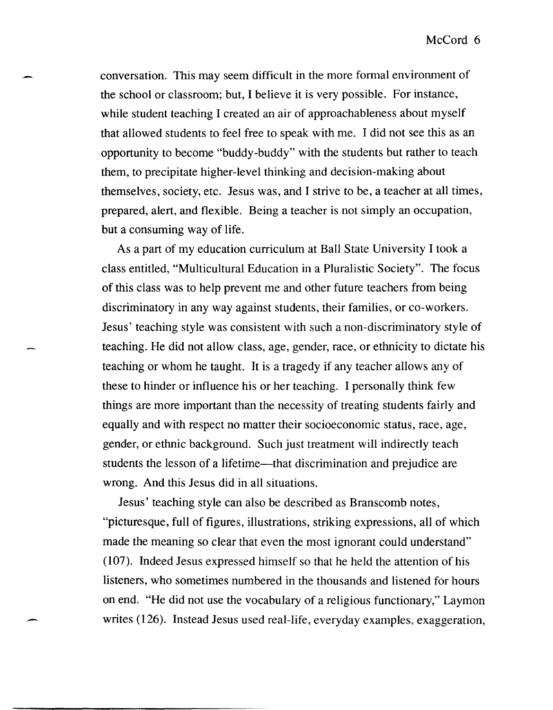conversation. This may seem difficult in the more formal environment of the school or classroom; but, I believe it is very possible. For instance, while student teaching I created an air of approachableness about myself that allowed students to feel free to speak with me. I did not see this as an opportunity to become "buddy-buddy" with the students but rather to teach them, to precipitate higher-level thinking and decision-making about themselves, society, etc. Jesus was, and I strive to be, a teacher at all times, prepared, alert, and flexible. Being a teacher is not simply an occupation, but a consuming way of life.

As a part of my education curriculum at Ball State University I took a class entitled, "Multicultural Education in a Pluralistic Society". The focus of this class was to help prevent me and other future teachers from being discriminatory in any way against students, their families, or co-workers. Jesus' teaching style was consistent with such a non-discriminatory style of teaching. He did not allow class, age, gender, race, or ethnicity to dictate his teaching or whom he taught. It is a tragedy if any teacher allows any of these to hinder or influence his or her teaching. I personally think few things are more important than the necessity of treating students fairly and equally and with respect no matter their socioeconomic status, race, age, gender, or ethnic background. Such just treatment will indirectly teach students the lesson of a lifetime—that discrimination and prejudice are wrong. And this Jesus did in all situations.

Jesus' teaching style can also be described as Branscomb notes, "picturesque, full of figures, illustrations, striking expressions, all of which made the meaning so clear that even the most ignorant could understand" (107). Indeed Jesus expressed himself so that he held the attention of his listeners, who sometimes numbered in the thousands and listened for hours on end. "He did not use the vocabulary of a religious functionary," Laymon writes  $(126)$ . Instead Jesus used real-life, everyday examples, exaggeration,

,-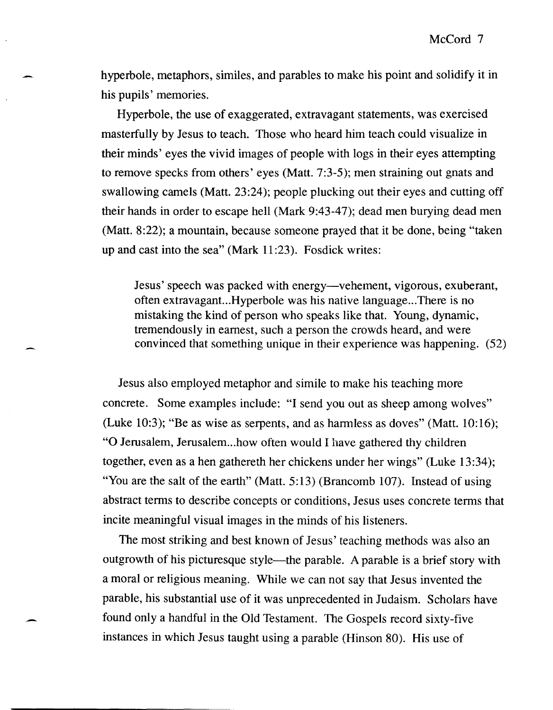hyperbole, metaphors, similes, and parables to make his point and solidify it in his pupils' memories.

Hyperbole, the use of exaggerated, extravagant statements, was exercised masterfully by Jesus to teach. Those who heard him teach could visualize in their minds' eyes the vivid images of people with logs in their eyes attempting to remove specks from others' eyes (Matt. 7:3-5); men straining out gnats and swallowing camels (Matt. 23:24); people plucking out their eyes and cutting off their hands in order to escape hell (Mark 9:43-47); dead men burying dead men (Matt. 8:22); a mountain, because someone prayed that it be done, being "taken up and cast into the sea" (Mark 11 :23). Fosdick writes:

Jesus' speech was packed with energy-vehement, vigorous, exuberant, often extravagant...Hyperbole was his native language ... There is no mistaking the kind of person who speaks like that. Young, dynamic, tremendously in earnest, such a person the crowds heard, and were convinced that something unique in their experience was happening. (52)

Jesus also employed metaphor and simile to make his teaching more concrete. Some examples include: "I send you out as sheep among wolves" (Luke 10:3); "Be as wise as serpents, and as harmless as doves" (Matt.  $10:16$ ); "O Jerusalem, Jerusalem... how often would I have gathered thy children together, even as a hen gathereth her chickens under her wings" (Luke 13:34); "You are the salt of the earth" (Matt. 5:13) (Brancomb 107). Instead of using abstract terms to describe concepts or conditions, Jesus uses concrete terms that incite meaningful visual images in the minds of his listeners.

The most striking and best known of Jesus' teaching methods was also an outgrowth of his picturesque style—the parable. A parable is a brief story with a moral or religious meaning. While we can not say that Jesus invented the parable, his substantial use of it was unprecedented in Judaism. Scholars have found only a handful in the Old Testament. The Gospels record sixty-five instances in which Jesus taught using a parable (Hinson 80). His use of

-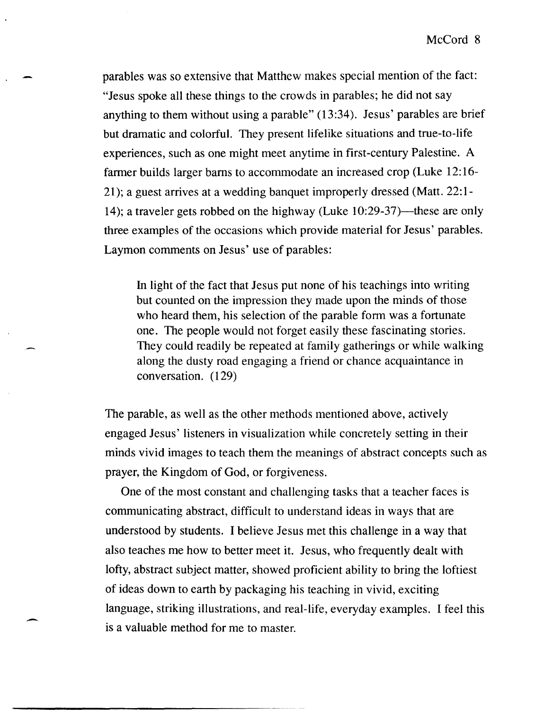parables was so extensive that Matthew makes special mention of the fact: "Jesus spoke all these things to the crowds in parables; he did not say anything to them without using a parable" (13:34). Jesus' parables are brief but dramatic and colorful. They present lifelike situations and true-to-life experiences, such as one might meet anytime in first-century Palestine. A farmer builds larger barns to accommodate an increased crop (Luke 12: 16- 21); a guest arrives at a wedding banquet improperly dressed (Matt. 22:1- 14); a traveler gets robbed on the highway (Luke  $10:29-37$ )—these are only three examples of the occasions which provide material for Jesus' parables. Laymon comments on Jesus' use of parables:

In light of the fact that Jesus put none of his teachings into writing but counted on the impression they made upon the minds of those who heard them, his selection of the parable form was a fortunate one. The people would not forget easily these fascinating stories. They could readily be repeated at family gatherings or while walking along the dusty road engaging a friend or chance acquaintance in conversation. (129)

The parable, as well as the other methods mentioned above, actively engaged Jesus' listeners in visualization while concretely setting in their minds vivid images to teach them the meanings of abstract concepts such as prayer, the Kingdom of God, or forgiveness.

One of the most constant and challenging tasks that a teacher faces is communicating abstract, difficult to understand ideas in ways that are understood by students. I believe Jesus met this challenge in a way that also teaches me how to better meet it. Jesus, who frequently dealt with lofty, abstract subject matter, showed proficient ability to bring the loftiest of ideas down to earth by packaging his teaching in vivid, exciting language, striking illustrations, and real-life, everyday examples. I feel this is a valuable method for me to master.

-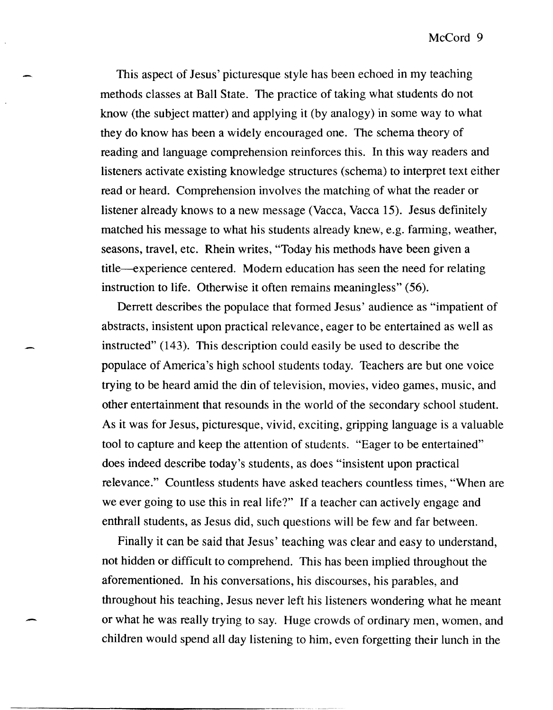This aspect of Jesus' picturesque style has been echoed in my teaching methods classes at Ball State. The practice of taking what students do not know (the subject matter) and applying it (by analogy) in some way to what they do know has been a widely encouraged one. The schema theory of reading and language comprehension reinforces this. In this way readers and listeners activate existing knowledge structures (schema) to interpret text either read or heard. Comprehension involves the matching of what the reader or listener already knows to a new message (Vacca, Vacca 15). Jesus definitely matched his message to what his students already knew, e.g. farming, weather, seasons, travel, etc. Rhein writes, "Today his methods have been given a title-experience centered. Modem education has seen the need for relating instruction to life. Otherwise it often remains meaningless" (56).

Derrett describes the populace that formed Jesus' audience as "impatient of abstracts, insistent upon practical relevance, eager to be entertained as well as instructed" (143). This description could easily be used to describe the populace of America's high school students today. Teachers are but one voice trying to be heard amid the din of television, movies, video games, music, and other entertainment that resounds in the world of the secondary school student. As it was for Jesus, picturesque, vivid, exciting, gripping language is a valuable tool to capture and keep the attention of students. "Eager to be entertained" does indeed describe today's students, as does "insistent upon practical relevance." Countless students have asked teachers countless times, "When are we ever going to use this in real life?" If a teacher can actively engage and enthrall students, as Jesus did, such questions will be few and far between.

Finally it can be said that Jesus' teaching was clear and easy to understand, not hidden or difficult to comprehend. This has been implied throughout the aforementioned. In his conversations, his discourses, his parables, and throughout his teaching, Jesus never left his listeners wondering what he meant or what he was really trying to say. Huge crowds of ordinary men, women, and children would spend all day listening to him, even forgetting their lunch in the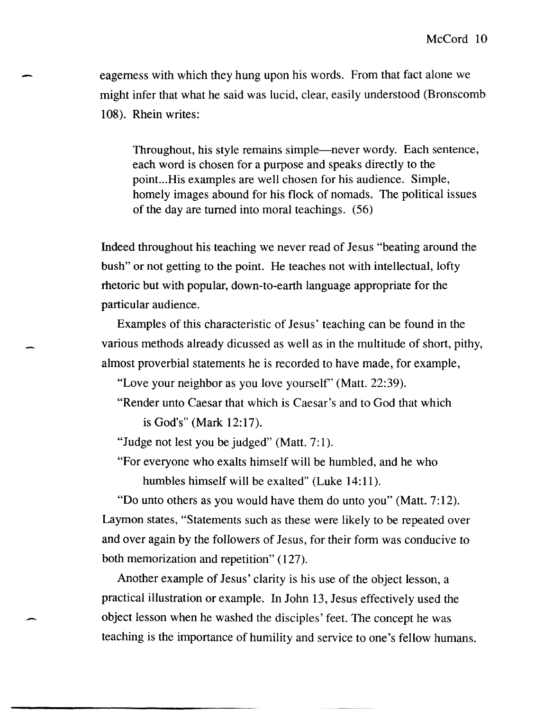eagerness with which they hung upon his words. From that fact alone we might infer that what he said was lucid, clear, easily understood (Bronscomb 108). Rhein writes:

-

-

Throughout, his style remains simple—never wordy. Each sentence, each word is chosen for a purpose and speaks directly to the point...His examples are well chosen for his audience. Simple, homely images abound for his flock of nomads. The political issues of the day are turned into moral teachings. (56)

Indeed throughout his teaching we never read of Jesus "beating around the bush" or not getting to the point. He teaches not with intellectual, lofty rhetoric but with popular, down-to-earth language appropriate for the particular audience.

Examples of this characteristic of Jesus' teaching can be found in the various methods already dicussed as well as in the multitude of short, pithy, almost proverbial statements he is recorded to have made, for example,

"Love your neighbor as you love yourself' (Matt. 22:39).

"Render unto Caesar that which is Caesar's and to God that which is God's" (Mark 12:17).

"Judge not lest you be judged" (Matt. 7:1).

"For everyone who exalts himself will be humbled, and he who humbles himself will be exalted" (Luke 14:11).

"Do unto others as you would have them do unto you" (Matt. 7:12). Laymon states, "Statements such as these were likely to be repeated over and over again by the followers of Jesus, for their form was conducive to both memorization and repetition" (127).

Another example of Jesus' clarity is his use of the object lesson, a practical illustration or example. In John 13, Jesus effectively used the object lesson when he washed the disciples' feet. The concept he was teaching is the importance of humility and service to one's fellow humans.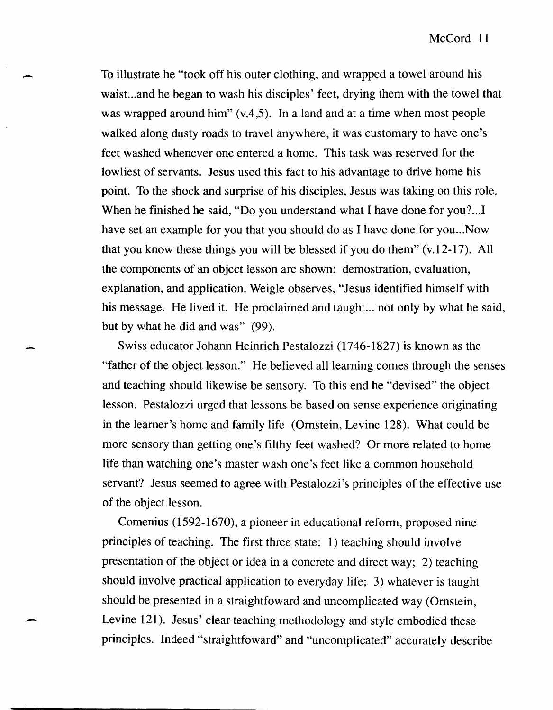To illustrate he "took off his outer clothing, and wrapped a towel around his waist...and he began to wash his disciples' feet, drying them with the towel that was wrapped around him"  $(v, 4, 5)$ . In a land and at a time when most people walked along dusty roads to travel anywhere, it was customary to have one's feet washed whenever one entered a home. This task was reserved for the lowliest of servants. Jesus used this fact to his advantage to drive home his point. To the shock and surprise of his disciples, Jesus was taking on this role. When he finished he said, "Do you understand what I have done for you?...I have set an example for you that you should do as I have done for you... Now that you know these things you will be blessed if you do them" (v.12-17). All the components of an object lesson are shown: demostration, evaluation, explanation, and application. Weigle observes, "Jesus identified himself with his message. He lived it. He proclaimed and taught... not only by what he said, but by what he did and was" (99).

-

Swiss educator Johann Heinrich Pestalozzi (1746-1827) is known as the "father of the object lesson." He believed all learning comes through the senses and teaching should likewise be sensory. To this end he "devised" the object lesson. Pestalozzi urged that lessons be based on sense experience originating in the leamer's home and family life (Ornstein, Levine 128). What could be more sensory than getting one's filthy feet washed? Or more related to home life than watching one's master wash one's feet like a common household servant? Jesus seemed to agree with Pestalozzi's principles of the effective use of the object lesson.

Comenius (1592-1670), a pioneer in educational reform, proposed nine principles of teaching. The first three state: 1) teaching should involve presentation of the object or idea in a concrete and direct way; 2) teaching should involve practical application to everyday life; 3) whatever is taught should be presented in a straightfoward and uncomplicated way (Ornstein, Levine 121). Jesus' clear teaching methodology and style embodied these principles. Indeed "straightfoward" and "uncomplicated" accurately describe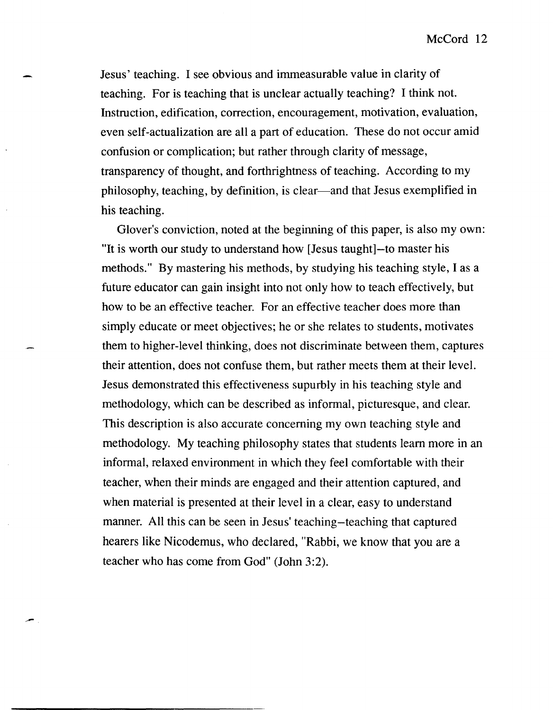Jesus' teaching. I see obvious and immeasurable value in clarity of teaching. For is teaching that is unclear actually teaching? I think not. Instruction, edification, correction, encouragement, motivation, evaluation, even self-actualization are all a part of education. These do not occur amid confusion or complication; but rather through clarity of message, transparency of thought, and forthrightness of teaching. According to my philosophy, teaching, by definition, is clear-and that Jesus exemplified in his teaching.

Glover's conviction, noted at the beginning of this paper, is also my own: "It is worth our study to understand how [Jesus taught]-to master his methods." By mastering his methods, by studying his teaching style, I as a future educator can gain insight into not only how to teach effectively, but how to be an effective teacher. For an effective teacher does more than simply educate or meet objectives; he or she relates to students, motivates them to higher-level thinking, does not discriminate between them, captures their attention, does not confuse them, but rather meets them at their level. Jesus demonstrated this effectiveness supurbly in his teaching style and methodology, which can be described as informal, picturesque, and clear. This description is also accurate concerning my own teaching style and methodology. My teaching philosophy states that students learn more in an informal, relaxed environment in which they feel comfortable with their teacher, when their minds are engaged and their attention captured, and when material is presented at their level in a clear, easy to understand manner. All this can be seen in Jesus' teaching-teaching that captured hearers like Nicodemus, who declared, "Rabbi, we know that you are a teacher who has come from God" (John 3:2).